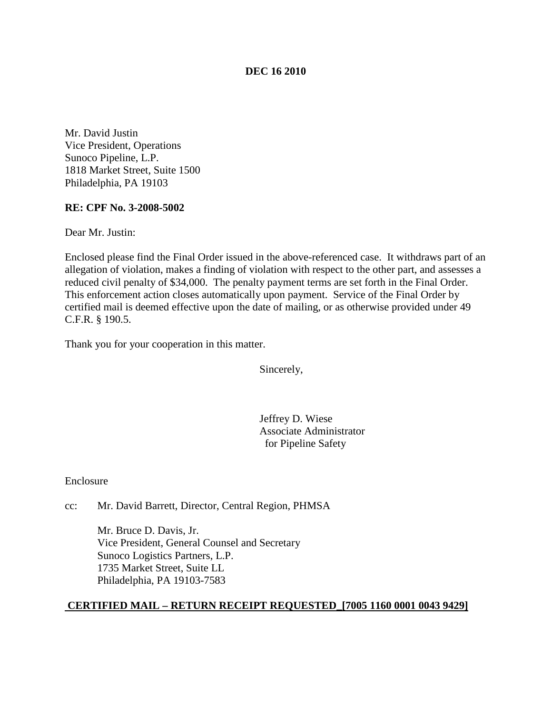#### **DEC 16 2010**

Mr. David Justin Vice President, Operations Sunoco Pipeline, L.P. 1818 Market Street, Suite 1500 Philadelphia, PA 19103

## **RE: CPF No. 3-2008-5002**

Dear Mr. Justin:

Enclosed please find the Final Order issued in the above-referenced case. It withdraws part of an allegation of violation, makes a finding of violation with respect to the other part, and assesses a reduced civil penalty of \$34,000. The penalty payment terms are set forth in the Final Order. This enforcement action closes automatically upon payment. Service of the Final Order by certified mail is deemed effective upon the date of mailing, or as otherwise provided under 49 C.F.R. § 190.5.

Thank you for your cooperation in this matter.

Sincerely,

Jeffrey D. Wiese Associate Administrator for Pipeline Safety

Enclosure

cc: Mr. David Barrett, Director, Central Region, PHMSA

Mr. Bruce D. Davis, Jr. Vice President, General Counsel and Secretary Sunoco Logistics Partners, L.P. 1735 Market Street, Suite LL Philadelphia, PA 19103-7583

#### **CERTIFIED MAIL – RETURN RECEIPT REQUESTED\_[7005 1160 0001 0043 9429]**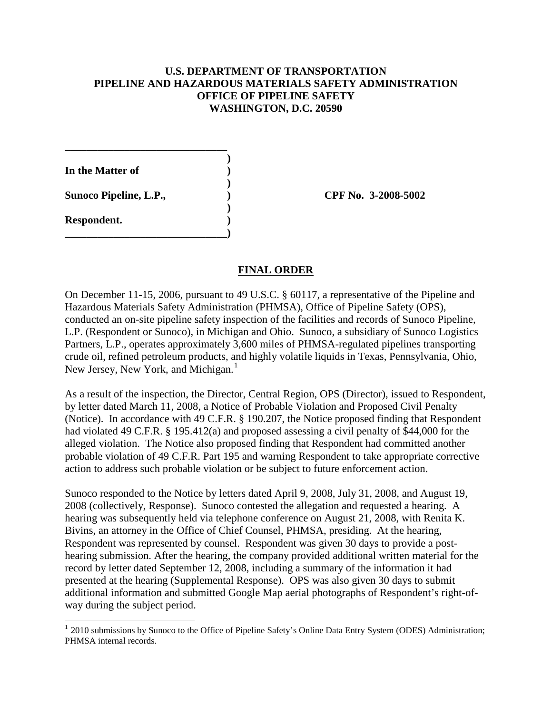## **U.S. DEPARTMENT OF TRANSPORTATION PIPELINE AND HAZARDOUS MATERIALS SAFETY ADMINISTRATION OFFICE OF PIPELINE SAFETY WASHINGTON, D.C. 20590**

**) In the Matter of ) ) Sunoco Pipeline, L.P., ) CPF No. 3-2008-5002 ) Respondent. )**

**\_\_\_\_\_\_\_\_\_\_\_\_\_\_\_\_\_\_\_\_\_\_\_\_\_\_\_\_\_\_)**

**\_\_\_\_\_\_\_\_\_\_\_\_\_\_\_\_\_\_\_\_\_\_\_\_\_\_\_\_\_\_**

#### **FINAL ORDER**

On December 11-15, 2006, pursuant to 49 U.S.C. § 60117, a representative of the Pipeline and Hazardous Materials Safety Administration (PHMSA), Office of Pipeline Safety (OPS), conducted an on-site pipeline safety inspection of the facilities and records of Sunoco Pipeline, L.P. (Respondent or Sunoco), in Michigan and Ohio. Sunoco, a subsidiary of Sunoco Logistics Partners, L.P., operates approximately 3,600 miles of PHMSA-regulated pipelines transporting crude oil, refined petroleum products, and highly volatile liquids in Texas, Pennsylvania, Ohio, New Jersey, New York, and Michigan.<sup>[1](#page-1-0)</sup>

As a result of the inspection, the Director, Central Region, OPS (Director), issued to Respondent, by letter dated March 11, 2008, a Notice of Probable Violation and Proposed Civil Penalty (Notice). In accordance with 49 C.F.R. § 190.207, the Notice proposed finding that Respondent had violated 49 C.F.R. § 195.412(a) and proposed assessing a civil penalty of \$44,000 for the alleged violation. The Notice also proposed finding that Respondent had committed another probable violation of 49 C.F.R. Part 195 and warning Respondent to take appropriate corrective action to address such probable violation or be subject to future enforcement action.

Sunoco responded to the Notice by letters dated April 9, 2008, July 31, 2008, and August 19, 2008 (collectively, Response). Sunoco contested the allegation and requested a hearing. A hearing was subsequently held via telephone conference on August 21, 2008, with Renita K. Bivins, an attorney in the Office of Chief Counsel, PHMSA, presiding. At the hearing, Respondent was represented by counsel. Respondent was given 30 days to provide a posthearing submission. After the hearing, the company provided additional written material for the record by letter dated September 12, 2008, including a summary of the information it had presented at the hearing (Supplemental Response). OPS was also given 30 days to submit additional information and submitted Google Map aerial photographs of Respondent's right-ofway during the subject period.

<span id="page-1-0"></span><sup>&</sup>lt;sup>1</sup> 2010 submissions by Sunoco to the Office of Pipeline Safety's Online Data Entry System (ODES) Administration; PHMSA internal records.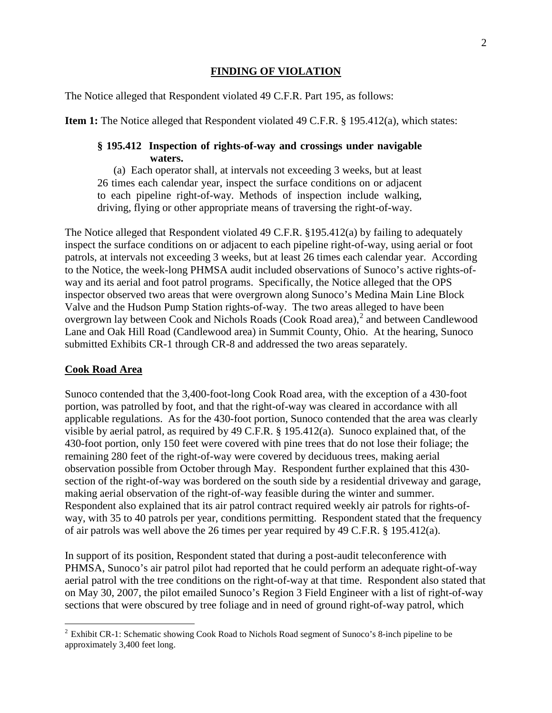## **FINDING OF VIOLATION**

The Notice alleged that Respondent violated 49 C.F.R. Part 195, as follows:

**Item 1:** The Notice alleged that Respondent violated 49 C.F.R. § 195.412(a), which states:

## **§ 195.412 Inspection of rights-of-way and crossings under navigable waters.**

(a) Each operator shall, at intervals not exceeding 3 weeks, but at least 26 times each calendar year, inspect the surface conditions on or adjacent to each pipeline right-of-way. Methods of inspection include walking, driving, flying or other appropriate means of traversing the right-of-way.

The Notice alleged that Respondent violated 49 C.F.R. §195.412(a) by failing to adequately inspect the surface conditions on or adjacent to each pipeline right-of-way, using aerial or foot patrols, at intervals not exceeding 3 weeks, but at least 26 times each calendar year. According to the Notice, the week-long PHMSA audit included observations of Sunoco's active rights-ofway and its aerial and foot patrol programs. Specifically, the Notice alleged that the OPS inspector observed two areas that were overgrown along Sunoco's Medina Main Line Block Valve and the Hudson Pump Station rights-of-way. The two areas alleged to have been overgrown lay between Cook and Nichols Roads (Cook Road area), [2](#page-2-0) and between Candlewood Lane and Oak Hill Road (Candlewood area) in Summit County, Ohio. At the hearing, Sunoco submitted Exhibits CR-1 through CR-8 and addressed the two areas separately.

## **Cook Road Area**

Sunoco contended that the 3,400-foot-long Cook Road area, with the exception of a 430-foot portion, was patrolled by foot, and that the right-of-way was cleared in accordance with all applicable regulations. As for the 430-foot portion, Sunoco contended that the area was clearly visible by aerial patrol, as required by 49 C.F.R. § 195.412(a). Sunoco explained that, of the 430-foot portion, only 150 feet were covered with pine trees that do not lose their foliage; the remaining 280 feet of the right-of-way were covered by deciduous trees, making aerial observation possible from October through May. Respondent further explained that this 430 section of the right-of-way was bordered on the south side by a residential driveway and garage, making aerial observation of the right-of-way feasible during the winter and summer. Respondent also explained that its air patrol contract required weekly air patrols for rights-ofway, with 35 to 40 patrols per year, conditions permitting. Respondent stated that the frequency of air patrols was well above the 26 times per year required by 49 C.F.R. § 195.412(a).

In support of its position, Respondent stated that during a post-audit teleconference with PHMSA, Sunoco's air patrol pilot had reported that he could perform an adequate right-of-way aerial patrol with the tree conditions on the right-of-way at that time. Respondent also stated that on May 30, 2007, the pilot emailed Sunoco's Region 3 Field Engineer with a list of right-of-way sections that were obscured by tree foliage and in need of ground right-of-way patrol, which

<span id="page-2-0"></span><sup>&</sup>lt;sup>2</sup> Exhibit CR-1: Schematic showing Cook Road to Nichols Road segment of Sunoco's 8-inch pipeline to be approximately 3,400 feet long.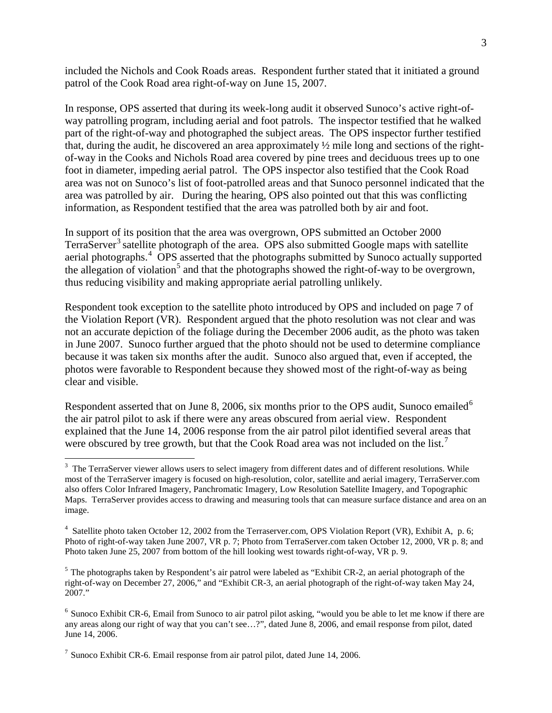included the Nichols and Cook Roads areas. Respondent further stated that it initiated a ground patrol of the Cook Road area right-of-way on June 15, 2007.

In response, OPS asserted that during its week-long audit it observed Sunoco's active right-ofway patrolling program, including aerial and foot patrols. The inspector testified that he walked part of the right-of-way and photographed the subject areas. The OPS inspector further testified that, during the audit, he discovered an area approximately ½ mile long and sections of the rightof-way in the Cooks and Nichols Road area covered by pine trees and deciduous trees up to one foot in diameter, impeding aerial patrol. The OPS inspector also testified that the Cook Road area was not on Sunoco's list of foot-patrolled areas and that Sunoco personnel indicated that the area was patrolled by air. During the hearing, OPS also pointed out that this was conflicting information, as Respondent testified that the area was patrolled both by air and foot.

In support of its position that the area was overgrown, OPS submitted an October 2000 TerraServer<sup>[3](#page-3-0)</sup> satellite photograph of the area. OPS also submitted Google maps with satellite aerial photographs.<sup>[4](#page-3-1)</sup> OPS asserted that the photographs submitted by Sunoco actually supported the allegation of violation<sup>[5](#page-3-2)</sup> and that the photographs showed the right-of-way to be overgrown, thus reducing visibility and making appropriate aerial patrolling unlikely.

Respondent took exception to the satellite photo introduced by OPS and included on page 7 of the Violation Report (VR). Respondent argued that the photo resolution was not clear and was not an accurate depiction of the foliage during the December 2006 audit, as the photo was taken in June 2007. Sunoco further argued that the photo should not be used to determine compliance because it was taken six months after the audit. Sunoco also argued that, even if accepted, the photos were favorable to Respondent because they showed most of the right-of-way as being clear and visible.

Respondent asserted that on June 8, 200[6](#page-3-3), six months prior to the OPS audit, Sunoco emailed<sup>6</sup> the air patrol pilot to ask if there were any areas obscured from aerial view. Respondent explained that the June 14, 2006 response from the air patrol pilot identified several areas that were obscured by tree growth, but that the Cook Road area was not included on the list.<sup>[7](#page-3-4)</sup>

<span id="page-3-0"></span><sup>&</sup>lt;sup>3</sup> The TerraServer viewer allows users to select imagery from different dates and of different resolutions. While most of the TerraServer imagery is focused on high-resolution, color, satellite and aerial imagery, TerraServer.com also offers Color Infrared Imagery, Panchromatic Imagery, Low Resolution Satellite Imagery, and Topographic Maps. TerraServer provides access to drawing and measuring tools that can measure surface distance and area on an image.

<span id="page-3-1"></span><sup>&</sup>lt;sup>4</sup> Satellite photo taken October 12, 2002 from the Terraserver.com, OPS Violation Report (VR), Exhibit A, p. 6; Photo of right-of-way taken June 2007, VR p. 7; Photo from TerraServer.com taken October 12, 2000, VR p. 8; and Photo taken June 25, 2007 from bottom of the hill looking west towards right-of-way, VR p. 9.

<span id="page-3-2"></span><sup>&</sup>lt;sup>5</sup> The photographs taken by Respondent's air patrol were labeled as "Exhibit CR-2, an aerial photograph of the right-of-way on December 27, 2006," and "Exhibit CR-3, an aerial photograph of the right-of-way taken May 24, 2007."

<span id="page-3-3"></span><sup>6</sup> Sunoco Exhibit CR-6, Email from Sunoco to air patrol pilot asking, "would you be able to let me know if there are any areas along our right of way that you can't see…?", dated June 8, 2006, and email response from pilot, dated June 14, 2006.

<span id="page-3-4"></span><sup>7</sup> Sunoco Exhibit CR-6. Email response from air patrol pilot, dated June 14, 2006.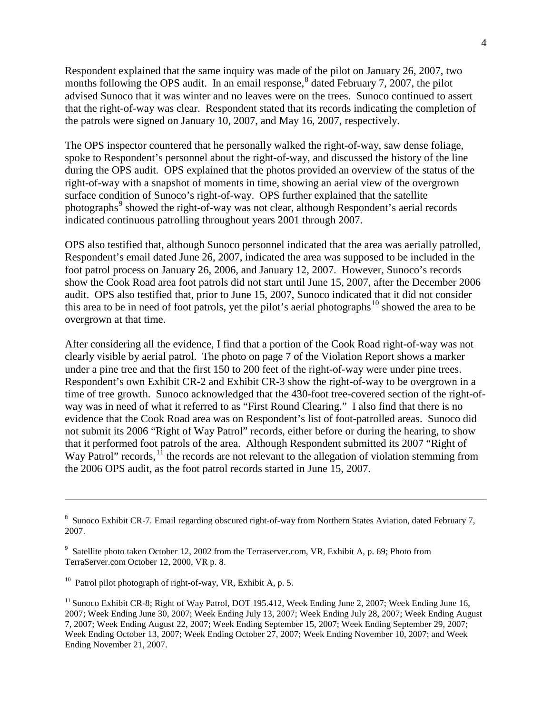Respondent explained that the same inquiry was made of the pilot on January 26, 2007, two months following the OPS audit. In an email response, $\delta$  dated February 7, 2007, the pilot advised Sunoco that it was winter and no leaves were on the trees. Sunoco continued to assert that the right-of-way was clear. Respondent stated that its records indicating the completion of the patrols were signed on January 10, 2007, and May 16, 2007, respectively.

The OPS inspector countered that he personally walked the right-of-way, saw dense foliage, spoke to Respondent's personnel about the right-of-way, and discussed the history of the line during the OPS audit. OPS explained that the photos provided an overview of the status of the right-of-way with a snapshot of moments in time, showing an aerial view of the overgrown surface condition of Sunoco's right-of-way. OPS further explained that the satellite photographs<sup>[9](#page-4-1)</sup> showed the right-of-way was not clear, although Respondent's aerial records indicated continuous patrolling throughout years 2001 through 2007.

OPS also testified that, although Sunoco personnel indicated that the area was aerially patrolled, Respondent's email dated June 26, 2007, indicated the area was supposed to be included in the foot patrol process on January 26, 2006, and January 12, 2007. However, Sunoco's records show the Cook Road area foot patrols did not start until June 15, 2007, after the December 2006 audit. OPS also testified that, prior to June 15, 2007, Sunoco indicated that it did not consider this area to be in need of foot patrols, yet the pilot's aerial photographs<sup>[10](#page-4-2)</sup> showed the area to be overgrown at that time.

After considering all the evidence, I find that a portion of the Cook Road right-of-way was not clearly visible by aerial patrol. The photo on page 7 of the Violation Report shows a marker under a pine tree and that the first 150 to 200 feet of the right-of-way were under pine trees. Respondent's own Exhibit CR-2 and Exhibit CR-3 show the right-of-way to be overgrown in a time of tree growth. Sunoco acknowledged that the 430-foot tree-covered section of the right-ofway was in need of what it referred to as "First Round Clearing." I also find that there is no evidence that the Cook Road area was on Respondent's list of foot-patrolled areas. Sunoco did not submit its 2006 "Right of Way Patrol" records, either before or during the hearing, to show that it performed foot patrols of the area. Although Respondent submitted its 2007 "Right of Way Patrol" records,  $^{11}$  $^{11}$  $^{11}$  the records are not relevant to the allegation of violation stemming from the 2006 OPS audit, as the foot patrol records started in June 15, 2007.

 $\overline{a}$ 

<span id="page-4-0"></span><sup>8</sup> Sunoco Exhibit CR-7. Email regarding obscured right-of-way from Northern States Aviation, dated February 7, 2007.

<span id="page-4-1"></span><sup>&</sup>lt;sup>9</sup> Satellite photo taken October 12, 2002 from the Terraserver.com, VR, Exhibit A, p. 69: Photo from TerraServer.com October 12, 2000, VR p. 8.

<span id="page-4-2"></span><sup>&</sup>lt;sup>10</sup> Patrol pilot photograph of right-of-way, VR, Exhibit A, p. 5.

<span id="page-4-3"></span><sup>&</sup>lt;sup>11</sup> Sunoco Exhibit CR-8; Right of Way Patrol, DOT 195.412, Week Ending June 2, 2007; Week Ending June 16, 2007; Week Ending June 30, 2007; Week Ending July 13, 2007; Week Ending July 28, 2007; Week Ending August 7, 2007; Week Ending August 22, 2007; Week Ending September 15, 2007; Week Ending September 29, 2007; Week Ending October 13, 2007; Week Ending October 27, 2007; Week Ending November 10, 2007; and Week Ending November 21, 2007.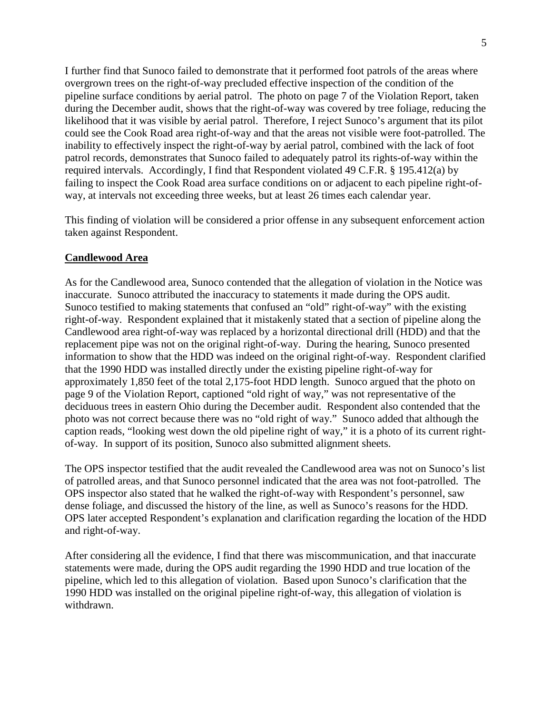I further find that Sunoco failed to demonstrate that it performed foot patrols of the areas where overgrown trees on the right-of-way precluded effective inspection of the condition of the pipeline surface conditions by aerial patrol. The photo on page 7 of the Violation Report, taken during the December audit, shows that the right-of-way was covered by tree foliage, reducing the likelihood that it was visible by aerial patrol. Therefore, I reject Sunoco's argument that its pilot could see the Cook Road area right-of-way and that the areas not visible were foot-patrolled. The inability to effectively inspect the right-of-way by aerial patrol, combined with the lack of foot patrol records, demonstrates that Sunoco failed to adequately patrol its rights-of-way within the required intervals. Accordingly, I find that Respondent violated 49 C.F.R. § 195.412(a) by failing to inspect the Cook Road area surface conditions on or adjacent to each pipeline right-ofway, at intervals not exceeding three weeks, but at least 26 times each calendar year.

This finding of violation will be considered a prior offense in any subsequent enforcement action taken against Respondent.

#### **Candlewood Area**

As for the Candlewood area, Sunoco contended that the allegation of violation in the Notice was inaccurate. Sunoco attributed the inaccuracy to statements it made during the OPS audit. Sunoco testified to making statements that confused an "old" right-of-way" with the existing right-of-way. Respondent explained that it mistakenly stated that a section of pipeline along the Candlewood area right-of-way was replaced by a horizontal directional drill (HDD) and that the replacement pipe was not on the original right-of-way. During the hearing, Sunoco presented information to show that the HDD was indeed on the original right-of-way. Respondent clarified that the 1990 HDD was installed directly under the existing pipeline right-of-way for approximately 1,850 feet of the total 2,175-foot HDD length. Sunoco argued that the photo on page 9 of the Violation Report, captioned "old right of way," was not representative of the deciduous trees in eastern Ohio during the December audit. Respondent also contended that the photo was not correct because there was no "old right of way." Sunoco added that although the caption reads, "looking west down the old pipeline right of way," it is a photo of its current rightof-way. In support of its position, Sunoco also submitted alignment sheets.

The OPS inspector testified that the audit revealed the Candlewood area was not on Sunoco's list of patrolled areas, and that Sunoco personnel indicated that the area was not foot-patrolled. The OPS inspector also stated that he walked the right-of-way with Respondent's personnel, saw dense foliage, and discussed the history of the line, as well as Sunoco's reasons for the HDD. OPS later accepted Respondent's explanation and clarification regarding the location of the HDD and right-of-way.

After considering all the evidence, I find that there was miscommunication, and that inaccurate statements were made, during the OPS audit regarding the 1990 HDD and true location of the pipeline, which led to this allegation of violation. Based upon Sunoco's clarification that the 1990 HDD was installed on the original pipeline right-of-way, this allegation of violation is withdrawn.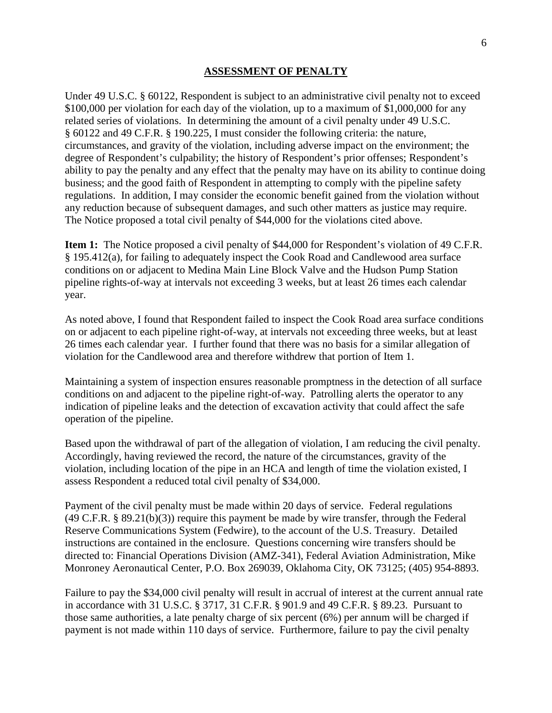#### **ASSESSMENT OF PENALTY**

Under 49 U.S.C. § 60122, Respondent is subject to an administrative civil penalty not to exceed \$100,000 per violation for each day of the violation, up to a maximum of \$1,000,000 for any related series of violations. In determining the amount of a civil penalty under 49 U.S.C. § 60122 and 49 C.F.R. § 190.225, I must consider the following criteria: the nature, circumstances, and gravity of the violation, including adverse impact on the environment; the degree of Respondent's culpability; the history of Respondent's prior offenses; Respondent's ability to pay the penalty and any effect that the penalty may have on its ability to continue doing business; and the good faith of Respondent in attempting to comply with the pipeline safety regulations. In addition, I may consider the economic benefit gained from the violation without any reduction because of subsequent damages, and such other matters as justice may require. The Notice proposed a total civil penalty of \$44,000 for the violations cited above.

**Item 1:** The Notice proposed a civil penalty of \$44,000 for Respondent's violation of 49 C.F.R. § 195.412(a), for failing to adequately inspect the Cook Road and Candlewood area surface conditions on or adjacent to Medina Main Line Block Valve and the Hudson Pump Station pipeline rights-of-way at intervals not exceeding 3 weeks, but at least 26 times each calendar year.

As noted above, I found that Respondent failed to inspect the Cook Road area surface conditions on or adjacent to each pipeline right-of-way, at intervals not exceeding three weeks, but at least 26 times each calendar year. I further found that there was no basis for a similar allegation of violation for the Candlewood area and therefore withdrew that portion of Item 1.

Maintaining a system of inspection ensures reasonable promptness in the detection of all surface conditions on and adjacent to the pipeline right-of-way. Patrolling alerts the operator to any indication of pipeline leaks and the detection of excavation activity that could affect the safe operation of the pipeline.

Based upon the withdrawal of part of the allegation of violation, I am reducing the civil penalty. Accordingly, having reviewed the record, the nature of the circumstances, gravity of the violation, including location of the pipe in an HCA and length of time the violation existed, I assess Respondent a reduced total civil penalty of \$34,000.

Payment of the civil penalty must be made within 20 days of service. Federal regulations (49 C.F.R. § 89.21(b)(3)) require this payment be made by wire transfer, through the Federal Reserve Communications System (Fedwire), to the account of the U.S. Treasury. Detailed instructions are contained in the enclosure. Questions concerning wire transfers should be directed to: Financial Operations Division (AMZ-341), Federal Aviation Administration, Mike Monroney Aeronautical Center, P.O. Box 269039, Oklahoma City, OK 73125; (405) 954-8893.

Failure to pay the \$34,000 civil penalty will result in accrual of interest at the current annual rate in accordance with 31 U.S.C. § 3717, 31 C.F.R. § 901.9 and 49 C.F.R. § 89.23. Pursuant to those same authorities, a late penalty charge of six percent (6%) per annum will be charged if payment is not made within 110 days of service. Furthermore, failure to pay the civil penalty